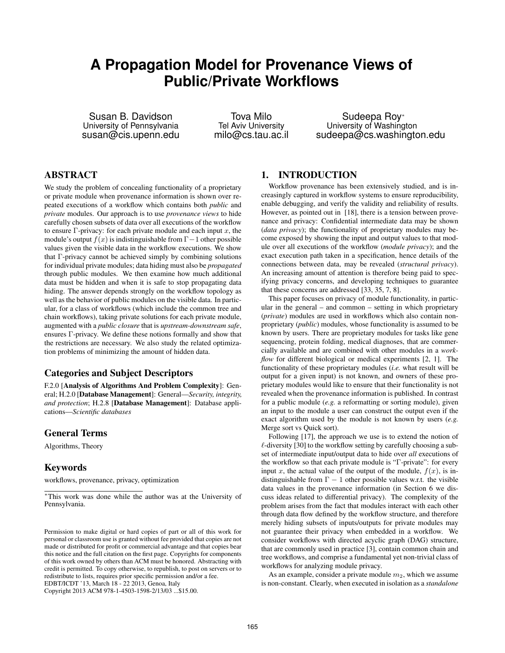# **A Propagation Model for Provenance Views of Public/Private Workflows**

Susan B. Davidson University of Pennsylvania susan@cis.upenn.edu

Tova Milo Tel Aviv University milo@cs.tau.ac.il

Sudeepa Roy<sup>∗</sup> University of Washington sudeepa@cs.washington.edu

# ABSTRACT

We study the problem of concealing functionality of a proprietary or private module when provenance information is shown over repeated executions of a workflow which contains both *public* and *private* modules. Our approach is to use *provenance views* to hide carefully chosen subsets of data over all executions of the workflow to ensure Γ-privacy: for each private module and each input  $x$ , the module's output  $f(x)$  is indistinguishable from  $\Gamma$  −1 other possible values given the visible data in the workflow executions. We show that Γ-privacy cannot be achieved simply by combining solutions for individual private modules; data hiding must also be *propagated* through public modules. We then examine how much additional data must be hidden and when it is safe to stop propagating data hiding. The answer depends strongly on the workflow topology as well as the behavior of public modules on the visible data. In particular, for a class of workflows (which include the common tree and chain workflows), taking private solutions for each private module, augmented with a *public closure* that is *upstream-downstream safe*, ensures Γ-privacy. We define these notions formally and show that the restrictions are necessary. We also study the related optimization problems of minimizing the amount of hidden data.

# Categories and Subject Descriptors

F.2.0 [Analysis of Algorithms And Problem Complexity]: General; H.2.0 [Database Management]: General—*Security, integrity, and protection*; H.2.8 [Database Management]: Database applications—*Scientific databases*

## General Terms

Algorithms, Theory

# Keywords

workflows, provenance, privacy, optimization

Copyright 2013 ACM 978-1-4503-1598-2/13/03 ...\$15.00.

## 1. INTRODUCTION

Workflow provenance has been extensively studied, and is increasingly captured in workflow systems to ensure reproducibility, enable debugging, and verify the validity and reliability of results. However, as pointed out in [18], there is a tension between provenance and privacy: Confidential intermediate data may be shown (*data privacy*); the functionality of proprietary modules may become exposed by showing the input and output values to that module over all executions of the workflow (*module privacy*); and the exact execution path taken in a specification, hence details of the connections between data, may be revealed (*structural privacy*). An increasing amount of attention is therefore being paid to specifying privacy concerns, and developing techniques to guarantee that these concerns are addressed [33, 35, 7, 8].

This paper focuses on privacy of module functionality, in particular in the general – and common – setting in which proprietary (*private*) modules are used in workflows which also contain nonproprietary (*public*) modules, whose functionality is assumed to be known by users. There are proprietary modules for tasks like gene sequencing, protein folding, medical diagnoses, that are commercially available and are combined with other modules in a *workflow* for different biological or medical experiments [2, 1]. The functionality of these proprietary modules (*i.e.* what result will be output for a given input) is not known, and owners of these proprietary modules would like to ensure that their functionality is not revealed when the provenance information is published. In contrast for a public module (*e.g.* a reformatting or sorting module), given an input to the module a user can construct the output even if the exact algorithm used by the module is not known by users (*e.g.* Merge sort vs Quick sort).

Following [17], the approach we use is to extend the notion of  $\ell$ -diversity [30] to the workflow setting by carefully choosing a subset of intermediate input/output data to hide over *all* executions of the workflow so that each private module is "Γ-private": for every input x, the actual value of the output of the module,  $f(x)$ , is indistinguishable from  $\Gamma - 1$  other possible values w.r.t. the visible data values in the provenance information (in Section 6 we discuss ideas related to differential privacy). The complexity of the problem arises from the fact that modules interact with each other through data flow defined by the workflow structure, and therefore merely hiding subsets of inputs/outputs for private modules may not guarantee their privacy when embedded in a workflow. We consider workflows with directed acyclic graph (DAG) structure, that are commonly used in practice [3], contain common chain and tree workflows, and comprise a fundamental yet non-trivial class of workflows for analyzing module privacy.

As an example, consider a private module  $m_2$ , which we assume is non-constant. Clearly, when executed in isolation as a *standalone*

<sup>∗</sup>This work was done while the author was at the University of Pennsylvania.

Permission to make digital or hard copies of part or all of this work for personal or classroom use is granted without fee provided that copies are not made or distributed for profit or commercial advantage and that copies bear this notice and the full citation on the first page. Copyrights for components of this work owned by others than ACM must be honored. Abstracting with credit is permitted. To copy otherwise, to republish, to post on servers or to redistribute to lists, requires prior specific permission and/or a fee. EDBT/ICDT '13, March 18 - 22 2013, Genoa, Italy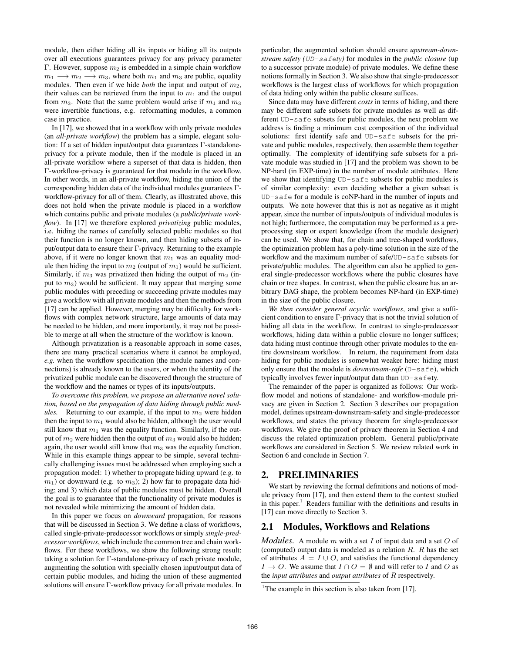module, then either hiding all its inputs or hiding all its outputs over all executions guarantees privacy for any privacy parameter Γ. However, suppose  $m_2$  is embedded in a simple chain workflow  $m_1 \longrightarrow m_2 \longrightarrow m_3$ , where both  $m_1$  and  $m_3$  are public, equality modules. Then even if we hide *both* the input and output of  $m_2$ , their values can be retrieved from the input to  $m_1$  and the output from  $m_3$ . Note that the same problem would arise if  $m_1$  and  $m_3$ were invertible functions, e.g. reformatting modules, a common case in practice.

In [17], we showed that in a workflow with only private modules (an *all-private workflow*) the problem has a simple, elegant solution: If a set of hidden input/output data guarantees Γ-standaloneprivacy for a private module, then if the module is placed in an all-private workflow where a superset of that data is hidden, then Γ-workflow-privacy is guaranteed for that module in the workflow. In other words, in an all-private workflow, hiding the union of the corresponding hidden data of the individual modules guarantees Γworkflow-privacy for all of them. Clearly, as illustrated above, this does not hold when the private module is placed in a workflow which contains public and private modules (a *public/private workflow*). In [17] we therefore explored *privatizing* public modules, i.e. hiding the names of carefully selected public modules so that their function is no longer known, and then hiding subsets of input/output data to ensure their Γ-privacy. Returning to the example above, if it were no longer known that  $m_1$  was an equality module then hiding the input to  $m_2$  (output of  $m_1$ ) would be sufficient. Similarly, if  $m_3$  was privatized then hiding the output of  $m_2$  (input to  $m_3$ ) would be sufficient. It may appear that merging some public modules with preceding or succeeding private modules may give a workflow with all private modules and then the methods from [17] can be applied. However, merging may be difficulty for workflows with complex network structure, large amounts of data may be needed to be hidden, and more importantly, it may not be possible to merge at all when the structure of the workflow is known.

Although privatization is a reasonable approach in some cases, there are many practical scenarios where it cannot be employed, *e.g.* when the workflow specification (the module names and connections) is already known to the users, or when the identity of the privatized public module can be discovered through the structure of the workflow and the names or types of its inputs/outputs.

*To overcome this problem, we propose an alternative novel solution, based on the propagation of data hiding through public mod* $ules.$  Returning to our example, if the input to  $m_2$  were hidden then the input to  $m_1$  would also be hidden, although the user would still know that  $m_1$  was the equality function. Similarly, if the output of  $m_2$  were hidden then the output of  $m_3$  would also be hidden; again, the user would still know that  $m_3$  was the equality function. While in this example things appear to be simple, several technically challenging issues must be addressed when employing such a propagation model: 1) whether to propagate hiding upward (e.g. to  $m_1$ ) or downward (e.g. to  $m_3$ ); 2) how far to propagate data hiding; and 3) which data of public modules must be hidden. Overall the goal is to guarantee that the functionality of private modules is not revealed while minimizing the amount of hidden data.

In this paper we focus on *downward* propagation, for reasons that will be discussed in Section 3. We define a class of workflows, called single-private-predecessor workflows or simply *single-predecessor workflows*, which include the common tree and chain workflows. For these workflows, we show the following strong result: taking a solution for Γ-standalone-privacy of each private module, augmenting the solution with specially chosen input/output data of certain public modules, and hiding the union of these augmented solutions will ensure Γ-workflow privacy for all private modules. In

particular, the augmented solution should ensure *upstream-downstream safety (*UD-safe*ty)* for modules in the *public closure* (up to a successor private module) of private modules. We define these notions formally in Section 3. We also show that single-predecessor workflows is the largest class of workflows for which propagation of data hiding only within the public closure suffices.

Since data may have different *costs* in terms of hiding, and there may be different safe subsets for private modules as well as different UD-safe subsets for public modules, the next problem we address is finding a minimum cost composition of the individual solutions: first identify safe and UD-safe subsets for the private and public modules, respectively, then assemble them together optimally. The complexity of identifying safe subsets for a private module was studied in [17] and the problem was shown to be NP-hard (in EXP-time) in the number of module attributes. Here we show that identifying UD-safe subsets for public modules is of similar complexity: even deciding whether a given subset is UD-safe for a module is coNP-hard in the number of inputs and outputs. We note however that this is not as negative as it might appear, since the number of inputs/outputs of individual modules is not high; furthermore, the computation may be performed as a preprocessing step or expert knowledge (from the module designer) can be used. We show that, for chain and tree-shaped workflows, the optimization problem has a poly-time solution in the size of the workflow and the maximum number of safe/UD-safe subsets for private/public modules. The algorithm can also be applied to general single-predecessor workflows where the public closures have chain or tree shapes. In contrast, when the public closure has an arbitrary DAG shape, the problem becomes NP-hard (in EXP-time) in the size of the public closure.

*We then consider general acyclic workflows*, and give a sufficient condition to ensure Γ-privacy that is not the trivial solution of hiding all data in the workflow. In contrast to single-predecessor workflows, hiding data within a public closure no longer suffices; data hiding must continue through other private modules to the entire downstream workflow. In return, the requirement from data hiding for public modules is somewhat weaker here: hiding must only ensure that the module is *downstream-safe* (D-safe), which typically involves fewer input/output data than UD-safety.

The remainder of the paper is organized as follows: Our workflow model and notions of standalone- and workflow-module privacy are given in Section 2. Section 3 describes our propagation model, defines upstream-downstream-safety and single-predecessor workflows, and states the privacy theorem for single-predecessor workflows. We give the proof of privacy theorem in Section 4 and discuss the related optimization problem. General public/private workflows are considered in Section 5. We review related work in Section 6 and conclude in Section 7.

#### 2. PRELIMINARIES

We start by reviewing the formal definitions and notions of module privacy from [17], and then extend them to the context studied in this paper.<sup>1</sup> Readers familiar with the definitions and results in [17] can move directly to Section 3.

## 2.1 Modules, Workflows and Relations

*Modules.* A module m with a set I of input data and a set O of (computed) output data is modeled as a relation R. R has the set of attributes  $A = I \cup O$ , and satisfies the functional dependency  $I \rightarrow O$ . We assume that  $I \cap O = \emptyset$  and will refer to I and O as the *input attributes* and *output attributes* of R respectively.

<sup>&</sup>lt;sup>1</sup>The example in this section is also taken from [17].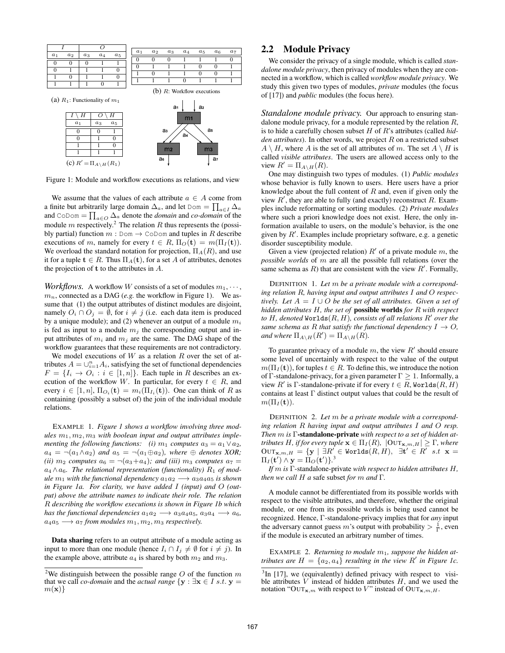

Figure 1: Module and workflow executions as relations, and view

We assume that the values of each attribute  $a \in A$  come from a finite but arbitrarily large domain  $\Delta_a$ , and let Dom =  $\prod_{a \in I} \Delta_a$ and  $\text{CoDom} = \prod_{a \in O} \Delta_a$  denote the *domain* and *co-domain* of the module m respectively.<sup>2</sup> The relation R thus represents the (possibly partial) function  $m :$  Dom  $\rightarrow$  CoDom and tuples in R describe executions of m, namely for every  $t \in R$ ,  $\Pi_O(\mathbf{t}) = m(\Pi_I(\mathbf{t}))$ . We overload the standard notation for projection,  $\Pi_A(R)$ , and use it for a tuple  $t \in R$ . Thus  $\Pi_A(t)$ , for a set A of attributes, denotes the projection of  $t$  to the attributes in  $A$ .

*Workflows.* A workflow W consists of a set of modules  $m_1, \dots,$  $m_n$ , connected as a DAG (*e.g.* the workflow in Figure 1). We assume that (1) the output attributes of distinct modules are disjoint, namely  $O_i \cap O_j = \emptyset$ , for  $i \neq j$  (i.e. each data item is produced by a unique module); and (2) whenever an output of a module  $m_i$ is fed as input to a module  $m_j$  the corresponding output and input attributes of  $m_i$  and  $m_j$  are the same. The DAG shape of the workflow guarantees that these requirements are not contradictory.

We model executions of  $W$  as a relation  $R$  over the set of attributes  $A = \bigcup_{i=1}^{n} A_i$ , satisfying the set of functional dependencies  $F = \{I_i \rightarrow O_i : i \in [1, n]\}.$  Each tuple in R describes an execution of the workflow W. In particular, for every  $t \in R$ , and every  $i \in [1, n]$ ,  $\Pi_{O_i}(\mathbf{t}) = m_i(\Pi_{I_i}(\mathbf{t}))$ . One can think of R as containing (possibly a subset of) the join of the individual module relations.

EXAMPLE 1. *Figure 1 shows a workflow involving three mod*ules  $m_1, m_2, m_3$  with boolean input and output attributes imple*menting the following functions:* (*i)*  $m_1$  *computes*  $a_3 = a_1 \vee a_2$ ,  $a_4 = \neg(a_1 \wedge a_2)$  *and*  $a_5 = \neg(a_1 \oplus a_2)$ *, where*  $\oplus$  *denotes XOR; (ii)*  $m_2$  *computes*  $a_6 = \neg(a_3 + a_4)$ *;* and *(iii)*  $m_3$  *computes*  $a_7 =$  $a_4 \wedge a_6$ . The relational representation (functionality)  $R_1$  of mod*ule*  $m_1$  *with the functional dependency*  $a_1a_2 \rightarrow a_3a_4a_5$  *is shown in Figure 1a. For clarity, we have added* I *(input) and* O *(output) above the attribute names to indicate their role. The relation* R *describing the workflow executions is shown in Figure 1b which has the functional dependencies*  $a_1a_2 \rightarrow a_3a_4a_5$ ,  $a_3a_4 \rightarrow a_6$ ,  $a_4a_5 \longrightarrow a_7$  *from modules*  $m_1, m_2, m_3$  *respectively.* 

Data sharing refers to an output attribute of a module acting as input to more than one module (hence  $I_i \cap I_j \neq \emptyset$  for  $i \neq j$ ). In the example above, attribute  $a_4$  is shared by both  $m_2$  and  $m_3$ .

### 2.2 Module Privacy

We consider the privacy of a single module, which is called *standalone module privacy*, then privacy of modules when they are connected in a workflow, which is called *workflow module privacy*. We study this given two types of modules, *private* modules (the focus of [17]) and *public* modules (the focus here).

*Standalone module privacy.* Our approach to ensuring standalone module privacy, for a module represented by the relation R, is to hide a carefully chosen subset H of R's attributes (called *hidden attributes*). In other words, we project R on a restricted subset  $A \setminus H$ , where A is the set of all attributes of m. The set  $A \setminus H$  is called *visible attributes*. The users are allowed access only to the view  $R' = \Pi_{A \setminus H}(R)$ .

One may distinguish two types of modules. (1) *Public modules* whose behavior is fully known to users. Here users have a prior knowledge about the full content of  $R$  and, even if given only the view  $R'$ , they are able to fully (and exactly) reconstruct  $R$ . Examples include reformatting or sorting modules. (2) *Private modules* where such a priori knowledge does not exist. Here, the only information available to users, on the module's behavior, is the one given by  $R'$ . Examples include proprietary software, e.g. a genetic disorder susceptibility module.

Given a view (projected relation)  $R'$  of a private module  $m$ , the *possible worlds* of m are all the possible full relations (over the same schema as  $R$ ) that are consistent with the view  $R'$ . Formally,

DEFINITION 1. *Let* m *be a private module with a corresponding relation* R*, having input and output attributes* I *and* O *respectively. Let*  $A = I \cup O$  *be the set of all attributes. Given a set of hidden attributes* H*, the set of* possible worlds *for* R *with respect* to  $H$ , denoted  $W$ **orlds** $(R, H)$ , consists of all relations  $R'$  over the *same schema as* R *that satisfy the functional dependency*  $I \rightarrow O$ , and where  $\Pi_{A\setminus H}(R') = \Pi_{A\setminus H}(R)$ .

To guarantee privacy of a module  $m$ , the view  $R'$  should ensure some level of uncertainly with respect to the value of the output  $m(\Pi_I(\mathbf{t}))$ , for tuples  $t \in R$ . To define this, we introduce the notion of Γ-standalone-privacy, for a given parameter  $\Gamma \geq 1$ . Informally, a view  $R'$  is  $\Gamma$ -standalone-private if for every  $t \in R$ , Worlds $(R, H)$ contains at least Γ distinct output values that could be the result of  $m(\Pi_I(\mathbf{t})).$ 

DEFINITION 2. *Let* m *be a private module with a corresponding relation* R *having input and output attributes* I *and* O *resp. Then* m *is* Γ-standalone-private *with respect to a set of hidden attributes H, if for every tuple*  $\mathbf{x} \in \Pi_I(R)$ *,*  $|\text{OUT}_{\mathbf{x},m,H}| \geq \Gamma$ *, where*  $\text{OUT}_{\mathbf{x},m,H} = \{\mathbf{y} \mid \exists R' \in \text{Worlds}(R,H), \; \; \exists \mathbf{t}' \in R' \; \; s.t \; \; \mathbf{x} =$  $\Pi_I ({\bf t}') \wedge {\bf y} = \Pi_O({\bf t}') \}.^3$ 

*If* m *is* Γ-standalone-private *with respect to hidden attributes* H*, then we call* H *a* safe subset *for* m *and* Γ*.*

A module cannot be differentiated from its possible worlds with respect to the visible attributes, and therefore, whether the original module, or one from its possible worlds is being used cannot be recognized. Hence, Γ-standalone-privacy implies that for *any* input the adversary cannot guess *m*'s output with probability  $> \frac{1}{\Gamma}$ , even if the module is executed an arbitrary number of times.

EXAMPLE 2. *Returning to module*  $m_1$ *, suppose the hidden attributes are*  $H = \{a_2, a_4\}$  *resulting in the view R' in Figure 1c.* 

<sup>&</sup>lt;sup>2</sup>We distinguish between the possible range  $O$  of the function  $m$ that we call *co-domain* and the *actual range*  $\{y : \exists x \in I \text{ s.t. } y =$  $m(\mathbf{x})\}$ 

 $3$ In [17], we (equivalently) defined privacy with respect to visible attributes  $\overline{V}$  instead of hidden attributes  $H$ , and we used the notation "OUT<sub>x,m</sub> with respect to V" instead of OUT<sub>x,m,H</sub>.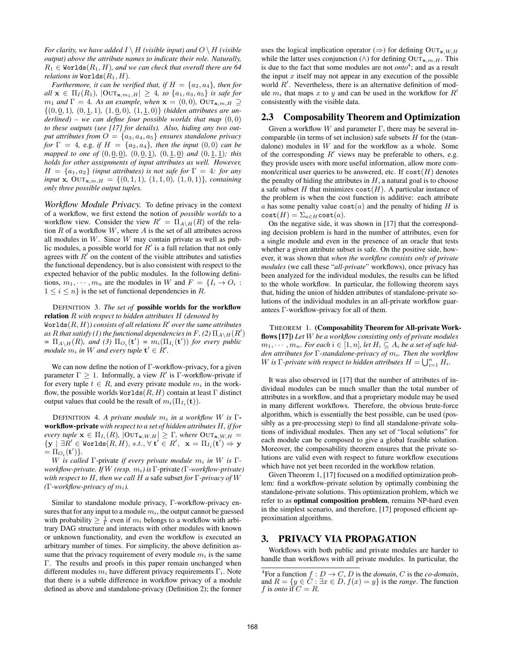*For clarity, we have added*  $I \setminus H$  *(visible input) and*  $O \setminus H$  *(visible output) above the attribute names to indicate their role. Naturally,*  $R_1 \in \text{Worlds}(R_1, H)$ , and we can check that overall there are 64 *relations in*  $W$ orlds $(R_1, H)$ *.* 

*Furthermore, it can be verified that, if*  $H = \{a_2, a_4\}$ *, then for*  $all \mathbf{x} \in \Pi_I(R_1), |\text{OUT}_{\mathbf{x},m_1,H}| \geq 4, so \{a_1, a_3, a_5\}$  *is safe for*  $m_1$  *and*  $\Gamma = 4$ *. As an example, when*  $\mathbf{x} = (0,0)$ *,* OUT<sub>**x***m*</sub>*H*  $\supseteq$ {(0, 0, 1)*,* (0, 1, 1)*,* (1, 0, 0)*,* (1, 1, 0)} *(hidden attributes are underlined) – we can define four possible worlds that map* (0, 0) *to these outputs (see [17] for details). Also, hiding any two output attributes from*  $O = \{a_3, a_4, a_5\}$  *ensures standalone privacy for*  $\Gamma = 4$ *,* e.g. *if*  $H = \{a_2, a_4\}$ *, then the input*  $(0, 0)$  *can be mapped to one of*  $(0, 0, 0)$ *,*  $(0, 0, 1)$ *,*  $(0, 1, 0)$  *and*  $(0, 1, 1)$ *; this holds for other assignments of input attributes as well. However,*  $H = \{a_1, a_2\}$  *(input attributes) is not safe for*  $\Gamma = 4$ *: for any input* **x**,  $OUT_{\mathbf{x},m,H} = \{(0,1,1), (1,1,0), (1,0,1)\}$ *, containing only three possible output tuples.*

*Workflow Module Privacy.* To define privacy in the context of a workflow, we first extend the notion of *possible worlds* to a workflow view. Consider the view  $R' = \Pi_{A \setminus H}(R)$  of the relation  $R$  of a workflow  $W$ , where  $A$  is the set of all attributes across all modules in  $W$ . Since  $W$  may contain private as well as public modules, a possible world for  $R'$  is a full relation that not only agrees with  $R'$  on the content of the visible attributes and satisfies the functional dependency, but is also consistent with respect to the expected behavior of the public modules. In the following definitions,  $m_1, \dots, m_n$  are the modules in W and  $F = \{I_i \rightarrow O_i :$  $1 \leq i \leq n$  is the set of functional dependencies in R.

DEFINITION 3. *The set of* possible worlds for the workflow relation R *with respect to hidden attributes* H *(denoted by* Worlds(R, H)*) consists of all relations* R 0 *over the same attributes*  $a$ s  $R$  *that satisfy* (1) the functional dependencies in  $F$  , (2)  $\Pi_{A\setminus H}(R')$  $= \Pi_{A \setminus H}(R)$ *, and (3)*  $\Pi_{O_i}(\mathbf{t}') = m_i(\Pi_{I_i}(\mathbf{t}'))$  *for every public module*  $m_i$  *in* W *and every tuple*  $\mathbf{t}' \in R'$ *.* 

We can now define the notion of Γ-workflow-privacy, for a given parameter  $\Gamma \geq 1$ . Informally, a view R' is  $\Gamma$ -workflow-private if for every tuple  $t \in R$ , and every private module  $m_i$  in the workflow, the possible worlds Worlds $(R, H)$  contain at least  $\Gamma$  distinct output values that could be the result of  $m_i(\Pi_{I_i}(\mathbf{t}))$ .

DEFINITION 4. A private module  $m_i$  in a workflow W is  $\Gamma$ workflow-private *with respect to a set of hidden attributes* H*, if for every tuple*  $\mathbf{x} \in \Pi_{I_i}(R)$ ,  $|\text{OUT}_{\mathbf{x},W,H}| \geq \Gamma$ , where  $\text{OUT}_{\mathbf{x},W,H}$  =  $\{ {\bf y} \mid \exists R' \in \texttt{Worlds}(R,H), \, s.t., \, \forall \ {\bf t'} \in R', \;\; {\bf x} = \Pi_{I_i}({\bf t'}) \Rightarrow {\bf y}$  $=\Pi_{O_i}({\bf t}')\}.$ 

W is called  $\Gamma$ -private *if every private module*  $m_i$  *in* W is  $\Gamma$ *workflow-private. If* W *(resp.* mi*) is* Γ-private *(*Γ*-workflow-private) with respect to* H*, then we call* H *a* safe subset *for* Γ*-privacy of* W *(*Γ*-workflow-privacy of* mi*).*

Similar to standalone module privacy, Γ-workflow-privacy ensures that for any input to a module  $m_i$ , the output cannot be guessed with probability  $\geq \frac{1}{\Gamma}$  even if  $m_i$  belongs to a workflow with arbitrary DAG structure and interacts with other modules with known or unknown functionality, and even the workflow is executed an arbitrary number of times. For simplicity, the above definition assume that the privacy requirement of every module  $m_i$  is the same Γ. The results and proofs in this paper remain unchanged when different modules  $m_i$  have different privacy requirements  $\Gamma_i$ . Note that there is a subtle difference in workflow privacy of a module defined as above and standalone-privacy (Definition 2); the former

uses the logical implication operator ( $\Rightarrow$ ) for defining OUT<sub>x,W,H</sub> while the latter uses conjunction ( $\wedge$ ) for defining OUT<sub>x,m,H</sub>. This is due to the fact that some modules are not *onto*<sup>4</sup>; and as a result the input  $x$  itself may not appear in any execution of the possible world  $R'$ . Nevertheless, there is an alternative definition of module  $m_i$  that maps x to y and can be used in the workflow for  $R'$ consistently with the visible data.

## 2.3 Composability Theorem and Optimization

Given a workflow W and parameter  $\Gamma$ , there may be several incomparable (in terms of set inclusion) safe subsets  $H$  for the (standalone) modules in  $W$  and for the workflow as a whole. Some of the corresponding  $R'$  views may be preferable to others, e.g. they provide users with more useful information, allow more common/critical user queries to be answered, etc. If  $cost(H)$  denotes the penalty of hiding the attributes in  $H$ , a natural goal is to choose a safe subset H that minimizes  $cost(H)$ . A particular instance of the problem is when the cost function is additive: each attribute a has some penalty value  $cost(a)$  and the penalty of hiding H is  $cost(H) = \sum_{a \in H} cost(a).$ 

On the negative side, it was shown in [17] that the corresponding decision problem is hard in the number of attributes, even for a single module and even in the presence of an oracle that tests whether a given attribute subset is safe. On the positive side, however, it was shown that *when the workflow consists only of private modules* (we call these "*all-private*" workflows), once privacy has been analyzed for the individual modules, the results can be lifted to the whole workflow. In particular, the following theorem says that, hiding the union of hidden attributes of standalone-private solutions of the individual modules in an all-private workflow guarantees Γ-workflow-privacy for all of them.

THEOREM 1. (Composability Theorem for All-private Workflows [17]) *Let* W *be a workflow consisting only of private modules*  $m_1, \cdots, m_n$ . For each  $i \in [1, n]$ , let  $H_i \subseteq A_i$  be a set of safe hid*den attributes for* Γ*-standalone-privacy of* mi*. Then the workflow* W is  $\Gamma$ -private with respect to hidden attributes  $H = \bigcup_{i=1}^n H_i$ .

It was also observed in [17] that the number of attributes of individual modules can be much smaller than the total number of attributes in a workflow, and that a proprietary module may be used in many different workflows. Therefore, the obvious brute-force algorithm, which is essentially the best possible, can be used (possibly as a pre-processing step) to find all standalone-private solutions of individual modules. Then any set of "local solutions" for each module can be composed to give a global feasible solution. Moreover, the composability theorem ensures that the private solutions are valid even with respect to future workflow executions which have not yet been recorded in the workflow relation.

Given Theorem 1, [17] focused on a modified optimization problem: find a workflow-private solution by optimally combining the standalone-private solutions. This optimization problem, which we refer to as optimal composition problem, remains NP-hard even in the simplest scenario, and therefore, [17] proposed efficient approximation algorithms.

## 3. PRIVACY VIA PROPAGATION

Workflows with both public and private modules are harder to handle than workflows with all private modules. In particular, the

<sup>&</sup>lt;sup>4</sup>For a function  $f: D \to C$ , D is the *domain*, C is the *co-domain*, and  $R = \{y \in \tilde{C} : \exists x \in D, f(x) = y\}$  is the *range*. The function f is *onto* if  $C = R$ .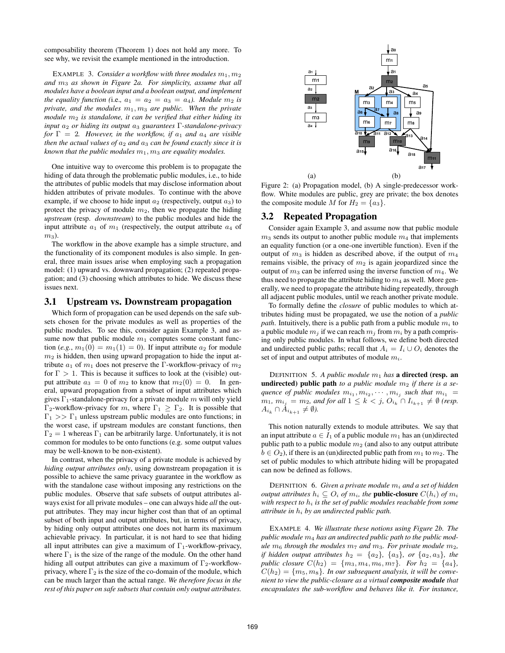composability theorem (Theorem 1) does not hold any more. To see why, we revisit the example mentioned in the introduction.

EXAMPLE 3. *Consider a workflow with three modules*  $m_1, m_2$ *and* m<sup>3</sup> *as shown in Figure 2a. For simplicity, assume that all modules have a boolean input and a boolean output, and implement the equality function (i.e.,*  $a_1 = a_2 = a_3 = a_4$ *). Module*  $m_2$  *is private, and the modules*  $m_1, m_3$  *are public. When the private module*  $m_2$  *is standalone, it can be verified that either hiding its input* a<sup>2</sup> *or hiding its output* a<sup>3</sup> *guarantees* Γ*-standalone-privacy for*  $\Gamma = 2$ *. However, in the workflow, if*  $a_1$  *and*  $a_4$  *are visible then the actual values of*  $a_2$  *and*  $a_3$  *can be found exactly since it is known that the public modules*  $m_1, m_3$  *are equality modules.* 

One intuitive way to overcome this problem is to propagate the hiding of data through the problematic public modules, i.e., to hide the attributes of public models that may disclose information about hidden attributes of private modules. To continue with the above example, if we choose to hide input  $a_2$  (respectively, output  $a_3$ ) to protect the privacy of module  $m_2$ , then we propagate the hiding *upstream* (resp. *downstream*) to the public modules and hide the input attribute  $a_1$  of  $m_1$  (respectively, the output attribute  $a_4$  of  $m<sub>3</sub>$ ).

The workflow in the above example has a simple structure, and the functionality of its component modules is also simple. In general, three main issues arise when employing such a propagation model: (1) upward vs. downward propagation; (2) repeated propagation; and (3) choosing which attributes to hide. We discuss these issues next.

#### 3.1 Upstream vs. Downstream propagation

Which form of propagation can be used depends on the safe subsets chosen for the private modules as well as properties of the public modules. To see this, consider again Example 3, and assume now that public module  $m_1$  computes some constant function (*e.g.*,  $m_1(0) = m_1(1) = 0$ ). If input attribute  $a_2$  for module  $m<sub>2</sub>$  is hidden, then using upward propagation to hide the input attribute  $a_1$  of  $m_1$  does not preserve the Γ-workflow-privacy of  $m_2$ for  $\Gamma > 1$ . This is because it suffices to look at the (visible) output attribute  $a_3 = 0$  of  $m_2$  to know that  $m_2(0) = 0$ . In general, upward propagation from a subset of input attributes which gives  $\Gamma_1$ -standalone-privacy for a private module m will only yield Γ<sub>2</sub>-workflow-privacy for m, where  $Γ_1 ≥ Γ_2$ . It is possible that  $\Gamma_1 >> \Gamma_1$  unless upstream public modules are onto functions; in the worst case, if upstream modules are constant functions, then  $\Gamma_2 = 1$  whereas  $\Gamma_1$  can be arbitrarily large. Unfortunately, it is not common for modules to be onto functions (e.g. some output values may be well-known to be non-existent).

In contrast, when the privacy of a private module is achieved by *hiding output attributes only*, using downstream propagation it is possible to achieve the same privacy guarantee in the workflow as with the standalone case without imposing any restrictions on the public modules. Observe that safe subsets of output attributes always exist for all private modules – one can always hide *all* the output attributes. They may incur higher cost than that of an optimal subset of both input and output attributes, but, in terms of privacy, by hiding only output attributes one does not harm its maximum achievable privacy. In particular, it is not hard to see that hiding all input attributes can give a maximum of  $\Gamma_1$ -workflow-privacy, where  $\Gamma_1$  is the size of the range of the module. On the other hand hiding all output attributes can give a maximum of  $\Gamma_2$ -workflowprivacy, where  $\Gamma_2$  is the size of the co-domain of the module, which can be much larger than the actual range. *We therefore focus in the rest of this paper on safe subsets that contain only output attributes.*



Figure 2: (a) Propagation model, (b) A single-predecessor workflow. White modules are public, grey are private; the box denotes the composite module M for  $H_2 = \{a_3\}.$ 

#### 3.2 Repeated Propagation

Consider again Example 3, and assume now that public module  $m_3$  sends its output to another public module  $m_4$  that implements an equality function (or a one-one invertible function). Even if the output of  $m_3$  is hidden as described above, if the output of  $m_4$ remains visible, the privacy of  $m_2$  is again jeopardized since the output of  $m_3$  can be inferred using the inverse function of  $m_4$ . We thus need to propagate the attribute hiding to  $m_4$  as well. More generally, we need to propagate the attribute hiding repeatedly, through all adjacent public modules, until we reach another private module.

To formally define the *closure* of public modules to which attributes hiding must be propagated, we use the notion of a *public path*. Intuitively, there is a public path from a public module  $m_i$  to a public module  $m_j$  if we can reach  $m_j$  from  $m_i$  by a path comprising only public modules. In what follows, we define both directed and undirected public paths; recall that  $A_i = I_i \cup O_i$  denotes the set of input and output attributes of module  $m_i$ .

DEFINITION 5. A *public module*  $m_1$  *has* **a directed (resp. an** undirected) public path *to a public module*  $m_2$  *if there is a se*quence of public modules  $m_{i_1}, m_{i_2}, \cdots, m_{i_j}$  such that  $m_{i_1} =$  $m_1, m_{i_j} = m_2$ , and for all  $1 \leq k \leq j$ ,  $O_{i_k} \cap I_{i_{k+1}} \neq \emptyset$  (resp.  $A_{i_k} \cap \overline{A}_{i_{k+1}} \neq \emptyset$ ).

This notion naturally extends to module attributes. We say that an input attribute  $a \in I_1$  of a public module  $m_1$  has an (un)directed public path to a public module  $m_2$  (and also to any output attribute  $b \in O_2$ ), if there is an (un)directed public path from  $m_1$  to  $m_2$ . The set of public modules to which attribute hiding will be propagated can now be defined as follows.

DEFINITION 6. Given a private module  $m_i$  and a set of hidden *output attributes*  $h_i \subseteq O_i$  *of*  $m_i$ *, the public-closure*  $C(h_i)$  *of*  $m_i$ *with respect to*  $h_i$  *is the set of public modules reachable from some attribute in*  $h_i$  *by an undirected public path.* 

EXAMPLE 4. *We illustrate these notions using Figure 2b. The public module* m<sup>4</sup> *has an undirected public path to the public module*  $m_6$  *through the modules*  $m_7$  *and*  $m_3$ *. For private module*  $m_2$ *, if hidden output attributes*  $h_2 = \{a_2\}$ ,  $\{a_3\}$ *, or*  $\{a_2, a_3\}$ *, the public closure*  $C(h_2) = \{m_3, m_4, m_6, m_7\}$ *. For*  $h_2 = \{a_4\}$ *,*  $C(h_2) = \{m_5, m_8\}$ . In our subsequent analysis, it will be conve*nient to view the public-closure as a virtual composite module that encapsulates the sub-workflow and behaves like it. For instance,*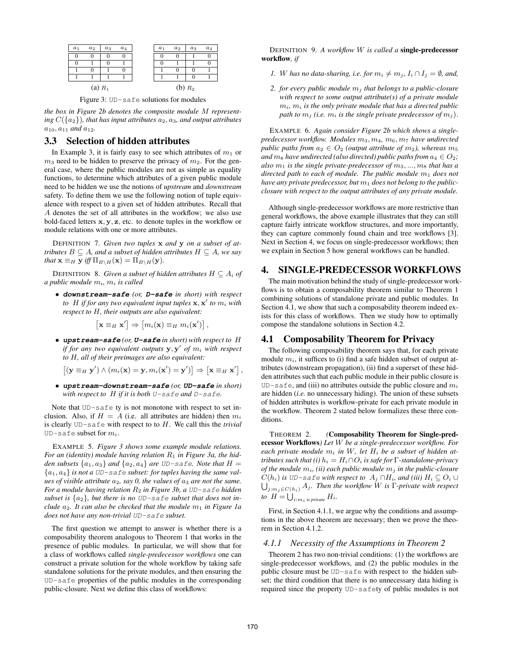| $a_1$ | $a_2$       | $a_3$ | a <sub>4</sub> |
|-------|-------------|-------|----------------|
|       |             |       |                |
|       |             |       |                |
|       |             |       |                |
|       |             |       |                |
|       | $(a)$ $R_1$ |       |                |

Figure 3: UD-safe solutions for modules

*the box in Figure 2b denotes the composite module* M *represent*ing  $C({a_2})$ *, that has input attributes*  $a_2, a_3$ *, and output attributes*  $a_{10}, a_{11}$  *and*  $a_{12}$ *.* 

## 3.3 Selection of hidden attributes

In Example 3, it is fairly easy to see which attributes of  $m_1$  or  $m_3$  need to be hidden to preserve the privacy of  $m_2$ . For the general case, where the public modules are not as simple as equality functions, to determine which attributes of a given public module need to be hidden we use the notions of *upstream* and *downstream* safety. To define them we use the following notion of tuple equivalence with respect to a given set of hidden attributes. Recall that A denotes the set of all attributes in the workflow; we also use bold-faced letters  $x, y, z$ , etc. to denote tuples in the workflow or module relations with one or more attributes.

DEFINITION 7. *Given two tuples* x *and* y *on a subset of attributes*  $B \subseteq A$ *, and a subset of hidden attributes*  $H \subseteq A$ *, we say that*  $\mathbf{x} \equiv_H \mathbf{y}$  *iff*  $\Pi_{B\setminus H}(\mathbf{x}) = \Pi_{B\setminus H}(\mathbf{y})$ *.* 

DEFINITION 8. *Given a subset of hidden attributes*  $H \subseteq A_i$  *of a public module* mi*,* m<sup>i</sup> *is called*

• **downstream-safe** *(or,* **D-safe** *in short) with respect to*  $H$  *if for any two equivalent input tuples*  $\mathbf{x}, \mathbf{x}'$  *to*  $m_i$  *with respect to* H*, their outputs are also equivalent:*

$$
\left[\mathbf{x} \equiv_H \mathbf{x}'\right] \Rightarrow \left[m_i(\mathbf{x}) \equiv_H m_i(\mathbf{x}')\right],
$$

• **upstream-safe** *(or,* **U-safe** *in short) with respect to* H *if for any two equivalent outputs*  $y, y'$  *of*  $m_i$  *with respect to* H*, all of their preimages are also equivalent:*

$$
\left[ \left( \mathbf{y} \equiv_H \mathbf{y}' \right) \wedge \left( m_i(\mathbf{x}) = \mathbf{y}, m_i(\mathbf{x}') = \mathbf{y}' \right) \right] \Rightarrow \left[ \mathbf{x} \equiv_H \mathbf{x}' \right],
$$

• **upstream-downstream-safe** *(or,* **UD-safe** *in short) with respect to* H *if it is both* U-safe *and* D-safe*.*

Note that UD-safe ty is not monotone with respect to set inclusion. Also, if  $H = A$  (i.e. all attributes are hidden) then  $m_i$ is clearly UD-safe with respect to to H. We call this the *trivial* UD-safe subset for  $m_i$ .

EXAMPLE 5. *Figure 3 shows some example module relations.* For an (*identity*) module having relation  $R_1$  in Figure 3a, the hid*den subsets*  $\{a_1, a_3\}$  *and*  $\{a_2, a_4\}$  *are*  $UD\text{-}safe$ *. Note that*  $H =$ {a1, a4} *is not a* UD-safe *subset: for tuples having the same values of visible attribute*  $a_2$ *, say 0, the values of*  $a_3$  *are not the same. For a module having relation*  $R_2$  *in Figure 3b, a UD-safe hidden* subset is  $\{a_2\}$ , but there is no UD-safe subset that does not in*clude*  $a_2$ *. It can also be checked that the module*  $m_1$  *in Figure 1a does not have any non-trivial* UD-safe *subset.*

The first question we attempt to answer is whether there is a composability theorem analogous to Theorem 1 that works in the presence of public modules. In particular, we will show that for a class of workflows called *single-predecessor workflows* one can construct a private solution for the whole workflow by taking safe standalone solutions for the private modules, and then ensuring the UD-safe properties of the public modules in the corresponding public-closure. Next we define this class of workflows:

DEFINITION 9. *A workflow* W *is called a* single-predecessor workflow*, if*

- *1. W* has no data-sharing, i.e. for  $m_i \neq m_j$ ,  $I_i \cap I_j = \emptyset$ , and,
- *2. for every public module* m<sup>j</sup> *that belongs to a public-closure with respect to some output attribute(s) of a private module*  $m_i$ ,  $m_i$  *is the only private module that has a directed public path to*  $m_i$  *(i.e.*  $m_i$  *is the single private predecessor of*  $m_i$ *).*

EXAMPLE 6. *Again consider Figure 2b which shows a singlepredecessor workflow. Modules*  $m_3, m_4, m_6, m_7$  *have undirected public paths from*  $a_2 \in O_2$  *(output attribute of m<sub>2</sub>), whereas m<sub>5</sub> and*  $m_8$  *have undirected (also directed) public paths from*  $a_4 \in O_2$ ; *also*  $m_1$  *is the single private-predecessor of*  $m_3, ..., m_8$  *that has a directed path to each of module. The public module*  $m_1$  *does not have any private predecessor, but*  $m_1$  *does not belong to the publicclosure with respect to the output attributes of any private module.*

Although single-predecessor workflows are more restrictive than general workflows, the above example illustrates that they can still capture fairly intricate workflow structures, and more importantly, they can capture commonly found chain and tree workflows [3]. Next in Section 4, we focus on single-predecessor workflows; then we explain in Section 5 how general workflows can be handled.

#### 4. SINGLE-PREDECESSOR WORKFLOWS

The main motivation behind the study of single-predecessor workflows is to obtain a composability theorem similar to Theorem 1 combining solutions of standalone private and public modules. In Section 4.1, we show that such a composability theorem indeed exists for this class of workflows. Then we study how to optimally compose the standalone solutions in Section 4.2.

#### 4.1 Composability Theorem for Privacy

The following composability theorem says that, for each private module  $m_i$ , it suffices to (i) find a safe hidden subset of output attributes (downstream propagation), (ii) find a superset of these hidden attributes such that each public module in their public closure is UD-safe, and (iii) no attributes outside the public closure and  $m_i$ are hidden (*i.e.* no unnecessary hiding). The union of these subsets of hidden attributes is workflow-private for each private module in the workflow. Theorem 2 stated below formalizes these three conditions.

THEOREM 2. *(*Composability Theorem for Single-predecessor Workflows*) Let* W *be a single-predecessor workflow. For* each private module  $m_i$  in W, let  $H_i$  be a subset of hidden at*tributes such that (i)*  $h_i = H_i \cap O_i$  *is safe for*  $\Gamma$ *-standalone-privacy of the module*  $m_i$ , *(ii) each public module*  $m_i$  *in the public-closure*  $C(h_i)$  *is* UD-safe with respect to  $A_j \cap H_i$ , and (iii)  $H_i \subseteq O_i \cup$  $\bigcup_{j:m_j\in C(h_i)}A_j$ *. Then the workflow W is*  $\Gamma$ *-private with respect* to  $H = \bigcup_{i:m_i \text{ is private}} H_i.$ 

First, in Section 4.1.1, we argue why the conditions and assumptions in the above theorem are necessary; then we prove the theorem in Section 4.1.2.

#### *4.1.1 Necessity of the Assumptions in Theorem 2*

Theorem 2 has two non-trivial conditions: (1) the workflows are single-predecessor workflows, and (2) the public modules in the public closure must be UD-safe with respect to the hidden subset; the third condition that there is no unnecessary data hiding is required since the property UD-safety of public modules is not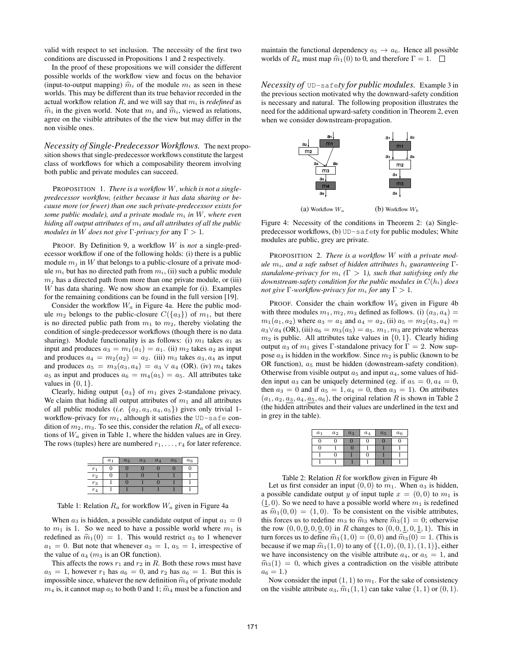valid with respect to set inclusion. The necessity of the first two conditions are discussed in Propositions 1 and 2 respectively.

In the proof of these propositions we will consider the different possible worlds of the workflow view and focus on the behavior (input-to-output mapping)  $\hat{m}_i$  of the module  $m_i$  as seen in these worlds. This may be different than its true behavior recorded in the actual workflow relation  $R$ , and we will say that  $m_i$  is *redefined* as  $\hat{m}_i$  in the given world. Note that  $m_i$  and  $\hat{m}_i$ , viewed as relations, agree on the visible attributes of the the view but may differ in the non visible ones.

*Necessity of Single-Predecessor Workflows.* The next proposition shows that single-predecessor workflows constitute the largest class of workflows for which a composability theorem involving both public and private modules can succeed.

PROPOSITION 1. *There is a workflow* W*, which is not a singlepredecessor workflow, (either because it has data sharing or because more (or fewer) than one such private-predecessor exists for some public module), and a private module*  $m_i$  *in* W, where even *hiding all output attributes of*  $m_i$  *and all attributes of all the public modules in* W *does not give*  $\Gamma$ *-privacy for* any  $\Gamma > 1$ *.* 

PROOF. By Definition 9, a workflow W is *not* a single-predecessor workflow if one of the following holds: (i) there is a public module  $m_j$  in W that belongs to a public-closure of a private module  $m_i$  but has no directed path from  $m_i$ , (ii) such a public module  $m_j$  has a directed path from more than one private module, or (iii) W has data sharing. We now show an example for (i). Examples for the remaining conditions can be found in the full version [19].

Consider the workflow  $W_a$  in Figure 4a. Here the public module  $m_2$  belongs to the public-closure  $C({a_3})$  of  $m_1$ , but there is no directed public path from  $m_1$  to  $m_2$ , thereby violating the condition of single-predecessor workflows (though there is no data sharing). Module functionality is as follows: (i)  $m_1$  takes  $a_1$  as input and produces  $a_3 = m_1(a_1) = a_1$ . (ii)  $m_2$  takes  $a_2$  as input and produces  $a_4 = m_2(a_2) = a_2$ . (iii)  $m_3$  takes  $a_3, a_4$  as input and produces  $a_5 = m_3(a_3, a_4) = a_3 \vee a_4$  (OR). (iv)  $m_4$  takes  $a_5$  as input and produces  $a_6 = m_4(a_5) = a_5$ . All attributes take values in  $\{0, 1\}$ .

Clearly, hiding output  $\{a_3\}$  of  $m_1$  gives 2-standalone privacy. We claim that hiding all output attributes of  $m_1$  and all attributes of all public modules (*i.e.*  $\{a_2, a_3, a_4, a_5\}$ ) gives only trivial 1workflow-privacy for  $m_1$ , although it satisfies the UD-safe condition of  $m_2, m_3$ . To see this, consider the relation  $R_a$  of all executions of  $W_a$  given in Table 1, where the hidden values are in Grey. The rows (tuples) here are numbered  $r_1, \ldots, r_4$  for later reference.

|       | $a_1$ | a <sub>2</sub> | a <sub>3</sub> | $a_4$ | $a_{5}$ | $a_6$ |
|-------|-------|----------------|----------------|-------|---------|-------|
| $r_1$ |       |                |                |       |         |       |
| $r_2$ |       |                |                |       |         |       |
| $r_3$ |       |                |                |       |         |       |
| $r_4$ |       |                |                |       |         |       |

Table 1: Relation  $R_a$  for workflow  $W_a$  given in Figure 4a

When  $a_3$  is hidden, a possible candidate output of input  $a_1 = 0$ to  $m_1$  is 1. So we need to have a possible world where  $m_1$  is redefined as  $\hat{m}_1(0) = 1$ . This would restrict  $a_3$  to 1 whenever  $a_1 = 0$ . But note that whenever  $a_3 = 1$ ,  $a_5 = 1$ , irrespective of the value of  $a_4$  ( $m_3$  is an OR function).

This affects the rows  $r_1$  and  $r_2$  in R. Both these rows must have  $a_5 = 1$ , however  $r_1$  has  $a_6 = 0$ , and  $r_2$  has  $a_6 = 1$ . But this is impossible since, whatever the new definition  $\hat{m}_4$  of private module  $m_4$  is, it cannot map  $a_5$  to both 0 and 1;  $\hat{m}_4$  must be a function and maintain the functional dependency  $a_5 \rightarrow a_6$ . Hence all possible worlds of  $R_a$  must map  $\hat{m}_1(0)$  to 0, and therefore  $\Gamma = 1$ .  $\Box$ 

*Necessity of* UD-safe*ty for public modules.* Example 3 in the previous section motivated why the downward-safety condition is necessary and natural. The following proposition illustrates the need for the additional upward-safety condition in Theorem 2, even when we consider downstream-propagation.



Figure 4: Necessity of the conditions in Theorem 2: (a) Singlepredecessor workflows, (b) UD-safety for public modules; White modules are public, grey are private.

PROPOSITION 2. *There is a workflow* W *with a private module*  $m_i$ , and a safe subset of hidden attributes  $h_i$  guaranteeing Γ*standalone-privacy for*  $m_i$  ( $\Gamma > 1$ ), such that satisfying only the *downstream-safety condition for the public modules in*  $C(h_i)$  *does not give*  $\Gamma$ *-workflow-privacy for*  $m_i$  *for* any  $\Gamma > 1$ *.* 

PROOF. Consider the chain workflow  $W_b$  given in Figure 4b with three modules  $m_1, m_2, m_3$  defined as follows. (i)  $(a_3, a_4)$  =  $m_1(a_1, a_2)$  where  $a_3 = a_1$  and  $a_4 = a_2$ , (ii)  $a_5 = m_2(a_3, a_4)$  $a_3 \vee a_4$  (OR), (iii)  $a_6 = m_3(a_5) = a_5$ .  $m_1, m_3$  are private whereas  $m_2$  is public. All attributes take values in  $\{0, 1\}$ . Clearly hiding output  $a_3$  of  $m_1$  gives Γ-standalone privacy for  $Γ = 2$ . Now suppose  $a_3$  is hidden in the workflow. Since  $m_2$  is public (known to be OR function),  $a_5$  must be hidden (downstream-safety condition). Otherwise from visible output  $a_5$  and input  $a_4$ , some values of hidden input  $a_3$  can be uniquely determined (eg. if  $a_5 = 0, a_4 = 0$ , then  $a_3 = 0$  and if  $a_5 = 1, a_4 = 0$ , then  $a_3 = 1$ ). On attributes  $(a_1, a_2, a_3, a_4, a_5, a_6)$ , the original relation R is shown in Table 2 (the hidden attributes and their values are underlined in the text and in grey in the table).

| $a_1$ | $a_2$ | $a_3$ | $a_4$ | $a_{5}$ | $a_6$ |
|-------|-------|-------|-------|---------|-------|
|       |       |       |       |         |       |
|       |       |       |       |         |       |
|       |       |       |       |         |       |
|       |       |       |       |         |       |

Table 2: Relation  $R$  for workflow given in Figure 4b Let us first consider an input  $(0, 0)$  to  $m_1$ . When  $a_3$  is hidden, a possible candidate output y of input tuple  $x = (0, 0)$  to  $m_1$  is  $(1, 0)$ . So we need to have a possible world where  $m_1$  is redefined as  $\hat{m}_1(0, 0) = (1, 0)$ . To be consistent on the visible attributes, this forces us to redefine  $m_3$  to  $\hat{m}_3$  where  $\hat{m}_3(1) = 0$ ; otherwise the row  $(0, 0, 0, 0, 0, 0)$  in R changes to  $(0, 0, 1, 0, 1, 1)$ . This in turn forces us to define  $\hat{m}_1(1, 0) = (0, 0)$  and  $\hat{m}_3(0) = 1$ . (This is because if we map  $\hat{m}_1(1, 0)$  to any of  $\{(1, 0), (0, 1), (1, 1)\}$ , either we have inconsistency on the visible attribute  $a_4$ , or  $a_5 = 1$ , and  $\hat{m}_3(1) = 0$ , which gives a contradiction on the visible attribute  $a_6 = 1.$ 

Now consider the input  $(1, 1)$  to  $m_1$ . For the sake of consistency on the visible attribute  $a_3$ ,  $\hat{m}_1(1, 1)$  can take value  $(1, 1)$  or  $(0, 1)$ .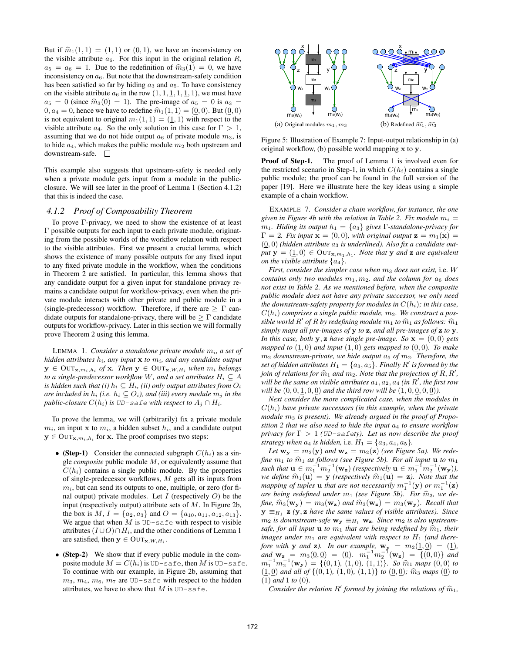But if  $\hat{m}_1(1, 1) = (1, 1)$  or  $(0, 1)$ , we have an inconsistency on the visible attribute  $a_6$ . For this input in the original relation R,  $a_5 = a_6 = 1$ . Due to the redefinition of  $\hat{m}_3(1) = 0$ , we have inconsistency on  $a_6$ . But note that the downstream-safety condition has been satisfied so far by hiding  $a_3$  and  $a_5$ . To have consistency on the visible attribute  $a_6$  in the row  $(1, 1, 1, 1, 1, 1)$ , we must have  $a_5 = 0$  (since  $\hat{m}_3(0) = 1$ ). The pre-image of  $a_5 = 0$  is  $a_3 = 0$  $0, a_4 = 0$ , hence we have to redefine  $\hat{m}_1(1, 1) = (0, 0)$ . But  $(0, 0)$ . is not equivalent to original  $m_1(1, 1) = (1, 1)$  with respect to the visible attribute  $a_4$ . So the only solution in this case for  $\Gamma > 1$ , assuming that we do not hide output  $a_6$  of private module  $m_3$ , is to hide  $a_4$ , which makes the public module  $m_2$  both upstream and downstream-safe.

This example also suggests that upstream-safety is needed only when a private module gets input from a module in the publicclosure. We will see later in the proof of Lemma 1 (Section 4.1.2) that this is indeed the case.

#### *4.1.2 Proof of Composability Theorem*

To prove Γ-privacy, we need to show the existence of at least Γ possible outputs for each input to each private module, originating from the possible worlds of the workflow relation with respect to the visible attributes. First we present a crucial lemma, which shows the existence of many possible outputs for any fixed input to any fixed private module in the workflow, when the conditions in Theorem 2 are satisfied. In particular, this lemma shows that any candidate output for a given input for standalone privacy remains a candidate output for workflow-privacy, even when the private module interacts with other private and public module in a (single-predecessor) workflow. Therefore, if there are  $\geq \Gamma$  candidate outputs for standalone-privacy, there will be  $\geq \Gamma$  candidate outputs for workflow-privacy. Later in this section we will formally prove Theorem 2 using this lemma.

LEMMA 1. *Consider a standalone private module*  $m_i$ , a set of *hidden attributes*  $h_i$ *, any input*  $\bf{x}$  *to*  $m_i$ *, and any candidate output*  $y \in \text{OUT}_{\mathbf{x},m_i,h_i}$  of  $\mathbf{x}$ *. Then*  $y \in \text{OUT}_{\mathbf{x},W,H_i}$  when  $m_i$  belongs *to a single-predecessor workflow W, and a set attributes*  $H_i \subseteq A$ *is hidden such that (i)*  $h_i \subseteq H_i$ *, (ii) only output attributes from*  $O_i$ *are included in*  $h_i$  *(i.e.*  $h_i \subseteq O_i$ *), and (iii) every module*  $m_j$  *in the public-closure*  $C(h_i)$  *is*  $UD$ -safe *with respect to*  $A_j \cap H_i$ *.* 

To prove the lemma, we will (arbitrarily) fix a private module  $m_i$ , an input x to  $m_i$ , a hidden subset  $h_i$ , and a candidate output  $y \in \text{OUT}_{\mathbf{x}, m_i, h_i}$  for x. The proof comprises two steps:

- (Step-1) Consider the connected subgraph  $C(h_i)$  as a single *composite* public module M, or equivalently assume that  $C(h_i)$  contains a single public module. By the properties of single-predecessor workflows, M gets all its inputs from  $m_i$ , but can send its outputs to one, multiple, or zero (for final output) private modules. Let  $I$  (respectively  $O$ ) be the input (respectively output) attribute sets of  $M$ . In Figure 2b, the box is  $M, I = \{a_2, a_3\}$  and  $O = \{a_{10}, a_{11}, a_{12}, a_{13}\}.$ We argue that when  $M$  is UD-safe with respect to visible attributes  $(I ∪ O) ∩ H_i$ , and the other conditions of Lemma 1 are satisfied, then  $y \in \text{OUT}_{\mathbf{x}, W, H_i}$ .
- (Step-2) We show that if every public module in the composite module  $M = C(h_i)$  is UD-safe, then M is UD-safe. To continue with our example, in Figure 2b, assuming that  $m_3, m_4, m_6, m_7$  are UD-safe with respect to the hidden attributes, we have to show that  $M$  is UD-safe.



Figure 5: Illustration of Example 7: Input-output relationship in (a) original workflow, (b) possible world mapping x to y.

Proof of Step-1. The proof of Lemma 1 is involved even for the restricted scenario in Step-1, in which  $C(h_i)$  contains a single public module; the proof can be found in the full version of the paper [19]. Here we illustrate here the key ideas using a simple example of a chain workflow.

EXAMPLE 7. *Consider a chain workflow, for instance, the one given in Figure 4b with the relation in Table 2. Fix module*  $m_i =$  $m_1$ *. Hiding its output*  $h_1 = \{a_3\}$  *gives*  $\Gamma$ *-standalone-privacy for*  $\Gamma = 2$ *. Fix input*  $\mathbf{x} = (0, 0)$ *, with original output*  $\mathbf{z} = m_1(\mathbf{x}) =$  $(0,0)$  (hidden attribute  $a_3$  is underlined). Also fix a candidate out $p$ *ut*  $y = (\underline{1}, 0) \in \text{OUT}_{x, m_1, h_1}$ *. Note that*  $y$  *and*  $z$  *are equivalent on the visible attribute*  $\{a_4\}$ *.* 

*First, consider the simpler case when*  $m_3$  *does not exist, i.e. W contains only two modules*  $m_1, m_2$ *, and the column for*  $a_6$  *does not exist in Table 2. As we mentioned before, when the composite public module does not have any private successor, we only need the downstream-safety property for modules in*  $C(h_i)$ *; in this case,*  $C(h_i)$  *comprises a single public module, m<sub>2</sub>. We construct a possible world*  $R'$  *of*  $R$  *by redefining module*  $m_1$  *to*  $\widehat{m}_1$  *as follows:*  $\widehat{m}_1$  *simply maps all pre-images of*  $\mathbf{z}$  *to*  $\mathbf{y}$ *simply maps all pre-images of* y *to* z*, and all pre-images of* z *to* y*. In this case, both*  $y$ , *z have single pre-image. So*  $x = (0, 0)$  *gets mapped to*  $(1, 0)$  *and input*  $(1, 0)$  *gets mapped to*  $(0, 0)$ *. To make* m<sup>2</sup> *downstream-private, we hide output* a<sup>5</sup> *of* m2*. Therefore, the* set of hidden attributes  $H_1 = \{a_3, a_5\}$ . Finally  $R'$  is formed by the *join of relations for*  $\widehat{m}_1$  *and*  $\widehat{m}_2$ *. Note that the projection of*  $R, R',$ <br>*will be the same on visible attributes*  $a_1, a_2, a_3$  *(in*  $R'$ *, the first row* will be the same on visible attributes  $a_1, a_2, a_4$  (in  $R'$ , the first row *will be* (0, 0, 1, 0, 0) *and the third row will be* (1, 0, 0, 0, 0)*).*

*Next consider the more complicated case, when the modules in*  $C(h_i)$  have private successors (in this example, when the private *module*  $m_3$  *is present*). We already argued in the proof of Propo*sition 2 that we also need to hide the input* a<sup>4</sup> *to ensure workflow privacy for*  $\Gamma > 1$  *(UD-safety). Let us now describe the proof strategy when*  $a_4$  *is hidden, i.e.*  $H_1 = \{a_3, a_4, a_5\}.$ 

Let  $\mathbf{w}_y = m_2(\mathbf{y})$  and  $\mathbf{w}_z = m_2(\mathbf{z})$  *(see Figure 5a). We redefine*  $m_1$  *to*  $\widehat{m}_1$  *as follows (see Figure 5b). For all input* **u** *to*  $m_1$ such that **u** ∈  $m_1^{-1}m_2^{-1}$  (**w**<sub>z</sub>) (respectively **u** ∈  $m_1^{-1}m_2^{-1}$  (**w**<sub>y</sub>)), *we define*  $\hat{m}_1(\mathbf{u}) = \mathbf{y}$  *(respectively*  $\hat{m}_1(\mathbf{u}) = \mathbf{z}$ *). Note that the mapping of tuples* **u** *that are not necessarily*  $m_1^{-1}(\mathbf{y})$  *or*  $m_1^{-1}(\mathbf{z})$ are being redefined under  $m_1$  (see Figure 5b). For  $\hat{m}_3$ , we de*fine,*  $\hat{m}_3(\mathbf{w_y}) = m_3(\mathbf{w_z})$  *and*  $\hat{m}_3(\mathbf{w_z}) = m_3(\mathbf{w_y})$ *. Recall that*  $y \equiv_{H_1} z$  *(y, z have the same values of visible attributes). Since*  $m_2$  *is downstream-safe*  $\mathbf{w}_y \equiv_{H_1} \mathbf{w}_z$ *. Since*  $m_2$  *is also upstreamsafe, for all input* **u** *to*  $m_1$  *that are being redefined by*  $\hat{m}_1$ *, their images under*  $m_1$  *are equivalent with respect to*  $H_1$  *(and therefore with* **y** *and* **z**). In our example,  $\mathbf{w_y} = m_2(\underline{1}, \underline{0}) = (\underline{1})$ ,  $and \mathbf{w_z} = m_3(\underline{0}, \underline{0}) = (\underline{0}). \quad m_1^{-1} m_2^{-1}(\mathbf{w_z}) = \{(0, 0)\}$  *and*  $m_1^{-1}m_2^{-1}(\mathbf{w_y}) = \{(0, 1), (1, 0), (1, 1)\}\.$  So  $\hat{m}_1$  maps  $(0, 0)$  to  $(1, 0)$  and all of  $I(0, 1), (1, 0), (1, 1)$  to  $(0, 0)$ ;  $\hat{m}_2$  maps  $(0)$  to  $(1, 0)$  *and all of*  $\{(0, 1), (1, 0), (1, 1)\}$  *to*  $(0, 0)$ *;*  $\hat{m}_3$  *maps*  $(0)$  *to* (1) *and* 1 *to* (0)*.*

*Consider the relation*  $R'$  *formed by joining the relations of*  $\widehat{m}_1$ *,*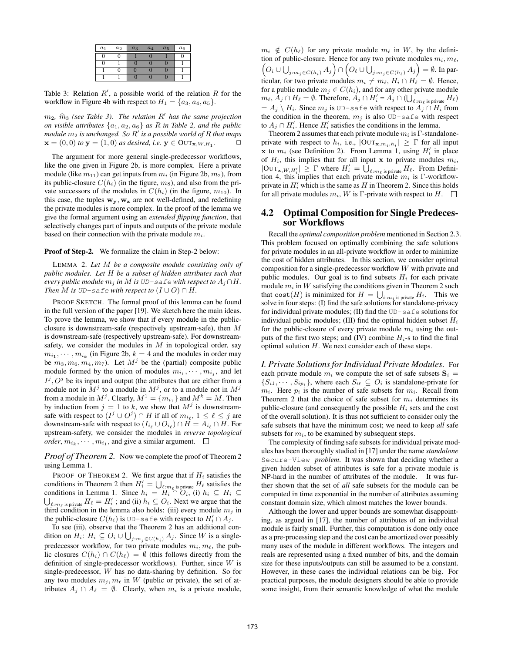| a <sub>1</sub> | $a_2$ | a <sub>3</sub> | a <sub>4</sub> | $a_5$ | $a_6$ |
|----------------|-------|----------------|----------------|-------|-------|
|                |       |                |                |       |       |
|                |       |                |                |       |       |
|                |       |                |                |       |       |
|                |       |                |                |       |       |

Table 3: Relation  $R'$ , a possible world of the relation  $R$  for the workflow in Figure 4b with respect to  $H_1 = \{a_3, a_4, a_5\}.$ 

 $m_2$ ,  $\hat{m}_3$  (see Table 3). The relation  $R'$  has the same projection<br>on visible attributes *Lat.*  $a_2$ ,  $a_3$ , as *R* in Table 2, and the public *on visible attributes*  $\{a_1, a_2, a_6\}$  *as R in Table 2, and the public module* m<sup>2</sup> *is unchanged. So* R 0 *is a possible world of* R *that maps*  $\mathbf{x} = (0,0)$  *to*  $\mathbf{y} = (1,0)$  *as desired, i.e.*  $\mathbf{y} \in \text{OUT}_{\mathbf{x},W,H_1}$ .  $\Box$ 

The argument for more general single-predecessor workflows, like the one given in Figure 2b, is more complex. Here a private module (like  $m_{11}$ ) can get inputs from  $m_i$  (in Figure 2b,  $m_2$ ), from its public-closure  $C(h_i)$  (in the figure,  $m_8$ ), and also from the private successors of the modules in  $C(h_i)$  (in the figure,  $m_{10}$ ). In this case, the tuples  $w_y$ ,  $w_z$  are not well-defined, and redefining the private modules is more complex. In the proof of the lemma we give the formal argument using an *extended flipping function*, that selectively changes part of inputs and outputs of the private module based on their connection with the private module  $m_i$ .

#### Proof of Step-2. We formalize the claim in Step-2 below:

LEMMA 2. *Let* M *be a composite module consisting only of public modules. Let* H *be a subset of hidden attributes such that every public module*  $m_j$  *in* M *is*  $UD$ -safe *with respect to*  $A_j \cap H$ *. Then*  $M$  *is*  $UD$ -safe *with respect to*  $(I \cup O) \cap H$ *.* 

PROOF SKETCH. The formal proof of this lemma can be found in the full version of the paper [19]. We sketch here the main ideas. To prove the lemma, we show that if every module in the publicclosure is downstream-safe (respectively upstream-safe), then M is downstream-safe (respectively upstream-safe). For downstreamsafety, we consider the modules in  $M$  in topological order, say  $m_{i_1}, \dots, m_{i_k}$  (in Figure 2b,  $k = 4$  and the modules in order may be  $m_3, m_6, m_4, m_7$ ). Let  $M<sup>j</sup>$  be the (partial) composite public module formed by the union of modules  $m_{i_1}, \dots, m_{i_j}$ , and let  $I^j$ ,  $O^j$  be its input and output (the attributes that are either from a module not in  $M^j$  to a module in  $M^j$ , or to a module not in  $M^j$ from a module in  $M^j$ . Clearly,  $M^1 = \{m_{i_1}\}\$  and  $M^k = M$ . Then by induction from  $j = 1$  to k, we show that  $M<sup>j</sup>$  is downstreamsafe with respect to  $(I^j \cup O^j) \cap H$  if all of  $m_{i_\ell}$ ,  $1 \leq \ell \leq j$  are downstream-safe with respect to  $(I_{i_\ell} \cup O_{i_\ell}) \cap H = A_{i_\ell} \cap H$ . For upstream-safety, we consider the modules in *reverse topological order*,  $m_{i_k}, \dots, m_{i_1}$ , and give a similar argument.

*Proof of Theorem 2.* Now we complete the proof of Theorem 2 using Lemma 1.

PROOF OF THEOREM 2. We first argue that if  $H_i$  satisfies the conditions in Theorem 2 then  $H'_i = \bigcup_{\ell : m_\ell \text{ is private}} H_\ell$  satisfies the conditions in Lemma 1. Since  $h_i = H_i \cap O_i$ , (i)  $h_i \subseteq H_i \subseteq$  $\bigcup_{\ell : m_{\ell} \text{ is private}} H_{\ell} = H'_{i}$ ; and (ii)  $h_{i} \subseteq O_{i}$ . Next we argue that the third condition in the lemma also holds: (iii) every module  $m_j$  in the public-closure  $C(h_i)$  is <code>UD-safe</code> with respect to  $H_i' \cap A_j$ .

To see (iii), observe that the Theorem 2 has an additional condition on  $H_i$ :  $H_i \subseteq O_i \cup \bigcup_{j:m_j \in C(h_i)} A_j$ . Since W is a singlepredecessor workflow, for two private modules  $m_i, m_\ell$ , the public closures  $C(h_i) \cap C(h_\ell) = \emptyset$  (this follows directly from the definition of single-predecessor workflows). Further, since  $W$  is single-predecessor, W has no data-sharing by definition. So for any two modules  $m_j, m_\ell$  in W (public or private), the set of attributes  $A_j \cap A_\ell = \emptyset$ . Clearly, when  $m_i$  is a private module,  $m_i \notin C(h_\ell)$  for any private module  $m_\ell$  in W, by the definition of public-closure. Hence for any two private modules  $m_i, m_\ell$ ,  $\left(O_i\cup\bigcup_{j:m_j\in C(h_i)}A_j\right)\cap\left(O_\ell\cup\bigcup_{j:m_j\in C(h_\ell)}A_j\right)=\emptyset.$  In particular, for two private modules  $m_i \neq m_\ell, H_i \cap H_\ell = \emptyset$ . Hence, for a public module  $m_j \in C(h_i)$ , and for any other private module  $m_{\ell}, \overline{A}_j \cap H_{\ell} = \emptyset$ . Therefore,  $A_j \cap H'_i = A_j \cap (\bigcup_{\ell : m_{\ell} \text{ is private}} H_{\ell})$  $= A_j \setminus H_i$ . Since  $m_j$  is UD-safe with respect to  $A_j \cap H_i$  from the condition in the theorem,  $m_j$  is also UD-safe with respect to  $A_j \cap H'_i$ . Hence  $H'_i$  satisfies the conditions in the lemma.

Theorem 2 assumes that each private module  $m_i$  is Γ-standaloneprivate with respect to  $h_i$ , i.e.,  $|\text{OUT}_{\mathbf{x},m_i,h_i}| \geq \Gamma$  for all input x to  $m_i$  (see Definition 2). From Lemma 1, using  $H_i'$  in place of  $H_i$ , this implies that for all input x to private modules  $m_i$ ,  $|\text{OUT}_{\mathbf{x},W,H'_{i}}| \geq \Gamma$  where  $H'_{i} = \bigcup_{\ell : m_{\ell} \text{ is private}} H_{\ell}$ . From Definition 4, this implies that each private module  $m_{i}$  is  $\Gamma$ -workflowprivate in  $H_i'$  which is the same as  $H$  in Theorem 2. Since this holds for all private modules  $m_i$ , W is Γ-private with respect to H.  $\Box$ 

#### 4.2 Optimal Composition for Single Predecessor Workflows

Recall the *optimal composition problem* mentioned in Section 2.3. This problem focused on optimally combining the safe solutions for private modules in an all-private workflow in order to minimize the cost of hidden attributes. In this section, we consider optimal composition for a single-predecessor workflow W with private and public modules. Our goal is to find subsets  $H_i$  for each private module  $m_i$  in W satisfying the conditions given in Theorem 2 such that cost  $(H)$  is minimized for  $H = \bigcup_{i:m_i \text{ is private}} H_i$ . This we solve in four steps: (I) find the safe solutions for standalone-privacy for individual private modules; (II) find the  $UD-safe$  solutions for individual public modules; (III) find the optimal hidden subset  $H_i$ for the public-closure of every private module  $m_i$  using the outputs of the first two steps; and (IV) combine  $H_i$ -s to find the final optimal solution  $H$ . We next consider each of these steps.

*I. Private Solutions for Individual Private Modules.* For each private module  $m_i$  we compute the set of safe subsets  $S_i$  =  $\{S_{i1}, \dots, S_{ip_i}\}\$ , where each  $S_{i\ell} \subseteq O_i$  is standalone-private for  $m_i$ . Here  $p_i$  is the number of safe subsets for  $m_i$ . Recall from Theorem 2 that the choice of safe subset for  $m_i$  determines its public-closure (and consequently the possible  $H_i$  sets and the cost of the overall solution). It is thus not sufficient to consider only the safe subsets that have the minimum cost; we need to keep *all* safe subsets for  $m_i$ , to be examined by subsequent steps.

The complexity of finding safe subsets for individual private modules has been thoroughly studied in [17] under the name *standalone* Secure-View *problem*. It was shown that deciding whether a given hidden subset of attributes is safe for a private module is NP-hard in the number of attributes of the module. It was further shown that the set of *all* safe subsets for the module can be computed in time exponential in the number of attributes assuming constant domain size, which almost matches the lower bounds.

Although the lower and upper bounds are somewhat disappointing, as argued in [17], the number of attributes of an individual module is fairly small. Further, this computation is done only once as a pre-processing step and the cost can be amortized over possibly many uses of the module in different workflows. The integers and reals are represented using a fixed number of bits, and the domain size for these inputs/outputs can still be assumed to be a constant. However, in these cases the individual relations can be big. For practical purposes, the module designers should be able to provide some insight, from their semantic knowledge of what the module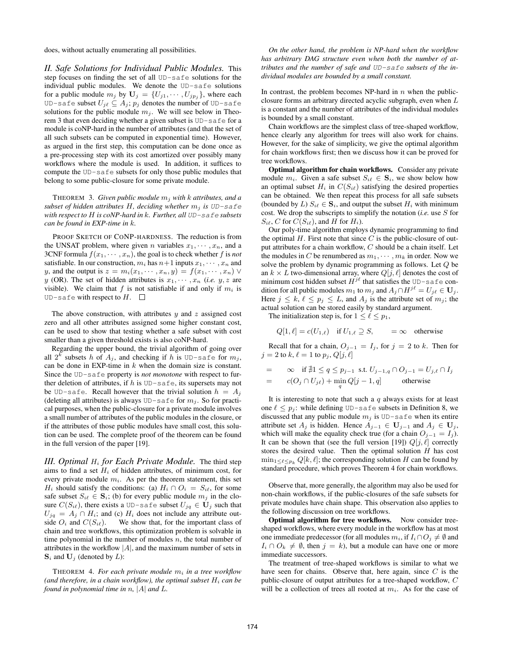does, without actually enumerating all possibilities.

*II. Safe Solutions for Individual Public Modules.* This step focuses on finding the set of all UD-safe solutions for the individual public modules. We denote the UD-safe solutions for a public module  $m_j$  by  $\mathbf{U}_j = \{U_{j1}, \cdots, U_{jp_j}\}\,$ , where each UD-safe subset  $U_{j\ell} \subseteq A_j$ ;  $p_j$  denotes the number of UD-safe solutions for the public module  $m_j$ . We will see below in Theorem 3 that even deciding whether a given subset is UD-safe for a module is coNP-hard in the number of attributes (and that the set of all such subsets can be computed in exponential time). However, as argued in the first step, this computation can be done once as a pre-processing step with its cost amortized over possibly many workflows where the module is used. In addition, it suffices to compute the UD-safe subsets for only those public modules that belong to some public-closure for some private module.

THEOREM 3. *Given public module* m<sup>j</sup> *with* k *attributes, and a subset of hidden attributes* H, deciding whether  $m_i$  *is* UD-safe *with respect to* H *is coNP-hard in* k*. Further, all* UD-safe *subsets can be found in EXP-time in* k*.*

PROOF SKETCH OF CONP-HARDNESS. The reduction is from the UNSAT problem, where given *n* variables  $x_1, \dots, x_n$ , and a 3CNF formula  $f(x_1, \dots, x_n)$ , the goal is to check whether f is *not* satisfiable. In our construction,  $m_i$  has  $n+1$  inputs  $x_1, \dots, x_n$  and y, and the output is  $z = m_i(x_1, \dots, x_n, y) = f(x_1, \dots, x_n) \vee$ y (OR). The set of hidden attributes is  $x_1, \dots, x_n$  (*i.e.*  $y, z$  are visible). We claim that f is not satisfiable if and only if  $m_i$  is UD-safe with respect to  $H$ .  $\square$ 

The above construction, with attributes  $y$  and  $z$  assigned cost zero and all other attributes assigned some higher constant cost, can be used to show that testing whether a safe subset with cost smaller than a given threshold exists is also coNP-hard.

Regarding the upper bound, the trivial algorithm of going over all  $2^k$  subsets h of  $A_j$ , and checking if h is UD-safe for  $m_j$ , can be done in EXP-time in  $k$  when the domain size is constant. Since the UD-safe property is *not monotone* with respect to further deletion of attributes, if h is  $UD$ -safe, its supersets may not be UD-safe. Recall however that the trivial solution  $h = A_i$ (deleting all attributes) is always  $UD$ -safe for  $m_i$ . So for practical purposes, when the public-closure for a private module involves a small number of attributes of the public modules in the closure, or if the attributes of those public modules have small cost, this solution can be used. The complete proof of the theorem can be found in the full version of the paper [19].

*III. Optimal* H<sup>i</sup> *for Each Private Module.* The third step aims to find a set  $H_i$  of hidden attributes, of minimum cost, for every private module  $m_i$ . As per the theorem statement, this set  $H_i$  should satisfy the conditions: (a)  $H_i \cap O_i = S_{i\ell}$ , for some safe subset  $S_{i\ell} \in \mathbf{S}_i$ ; (b) for every public module  $m_j$  in the closure  $C(S_{i\ell})$ , there exists a UD-safe subset  $U_{jq} \in U_j$  such that  $U_{jq} = A_j \cap H_i$ ; and (c)  $H_i$  does not include any attribute outside  $O_i$  and  $C(S_i)$ . We show that, for the important class of chain and tree workflows, this optimization problem is solvable in time polynomial in the number of modules  $n$ , the total number of attributes in the workflow  $|A|$ , and the maximum number of sets in  $S_i$  and  $U_j$  (denoted by  $L$ ):

THEOREM 4. For each private module  $m_i$  in a tree workflow (and therefore, in a chain workflow), the optimal subset  $H_i$  can be *found in polynomial time in* n*,* |A| *and* L*.*

*On the other hand, the problem is NP-hard when the workflow has arbitrary DAG structure even when both the number of attributes and the number of safe and* UD-safe *subsets of the individual modules are bounded by a small constant.*

In contrast, the problem becomes NP-hard in  $n$  when the publicclosure forms an arbitrary directed acyclic subgraph, even when L is a constant and the number of attributes of the individual modules is bounded by a small constant.

Chain workflows are the simplest class of tree-shaped workflow, hence clearly any algorithm for trees will also work for chains. However, for the sake of simplicity, we give the optimal algorithm for chain workflows first; then we discuss how it can be proved for tree workflows.

Optimal algorithm for chain workflows. Consider any private module  $m_i$ . Given a safe subset  $S_{i\ell} \in \mathbf{S}_i$ , we show below how an optimal subset  $H_i$  in  $C(S_i \ell)$  satisfying the desired properties can be obtained. We then repeat this process for all safe subsets (bounded by L)  $S_{i\ell} \in \mathbf{S}_i$ , and output the subset  $H_i$  with minimum cost. We drop the subscripts to simplify the notation (*i.e.* use S for  $S_{i\ell}$ , C for  $C(S_{i\ell})$ , and H for  $H_i$ ).

Our poly-time algorithm employs dynamic programming to find the optimal  $H$ . First note that since  $C$  is the public-closure of output attributes for a chain workflow, C should be a chain itself. Let the modules in C be renumbered as  $m_1, \dots, m_k$  in order. Now we solve the problem by dynamic programming as follows. Let Q be an  $k \times L$  two-dimensional array, where  $Q[j, \ell]$  denotes the cost of minimum cost hidden subset  $H^{j\ell}$  that satisfies the UD-safe condition for all public modules  $m_1$  to  $m_j$  and  $A_j \cap H^{j\ell} = U_{j\ell} \in \mathbf{U}_j$ . Here  $j \leq k, \ell \leq p_j \leq L$ , and  $A_j$  is the attribute set of  $m_j$ ; the actual solution can be stored easily by standard argument.

The initialization step is, for  $1 \leq \ell \leq p_1$ ,

$$
Q[1, \ell] = c(U_{1,\ell})
$$
 if  $U_{1,\ell} \supseteq S$ ,  $= \infty$  otherwise

Recall that for a chain,  $O_{j-1} = I_j$ , for  $j = 2$  to k. Then for  $j = 2$  to  $k, \ell = 1$  to  $p_j, Q[j, \ell]$ 

$$
= \infty \text{ if } \nexists 1 \le q \le p_{j-1} \text{ s.t. } U_{j-1,q} \cap O_{j-1} = U_{j,\ell} \cap I_j
$$
\n
$$
= c(O_j \cap U_{j\ell}) + \min_q Q[j-1,q] \text{ otherwise}
$$

It is interesting to note that such a  $q$  always exists for at least one  $\ell \leq p_j$ : while defining UD-safe subsets in Definition 8, we discussed that any public module  $m_j$  is UD-safe when its entire attribute set  $A_j$  is hidden. Hence  $A_{j-1}$  ∈  $U_{j-1}$  and  $A_j$  ∈  $U_j$ , which will make the equality check true (for a chain  $O_{j-1} = I_j$ ). It can be shown that (see the full version [19])  $Q[j, \ell]$  correctly stores the desired value. Then the optimal solution  $H$  has cost  $\min_{1 \leq \ell \leq p_k} Q[k, \ell];$  the corresponding solution H can be found by standard procedure, which proves Theorem 4 for chain workflows.

Observe that, more generally, the algorithm may also be used for non-chain workflows, if the public-closures of the safe subsets for private modules have chain shape. This observation also applies to the following discussion on tree workflows.

Optimal algorithm for tree workflows. Now consider treeshaped workflows, where every module in the workflow has at most one immediate predecessor (for all modules  $m_i$ , if  $I_i \cap O_j \neq \emptyset$  and  $I_i \cap O_k \neq \emptyset$ , then  $j = k$ ), but a module can have one or more immediate successors.

The treatment of tree-shaped workflows is similar to what we have seen for chains. Observe that, here again, since  $C$  is the public-closure of output attributes for a tree-shaped workflow, C will be a collection of trees all rooted at  $m_i$ . As for the case of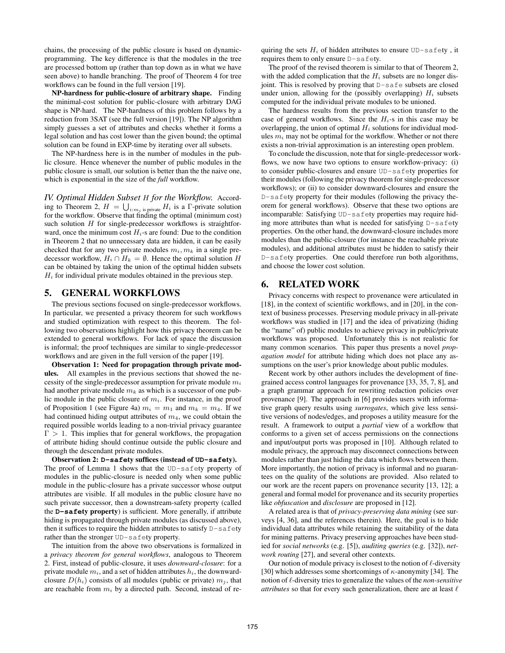chains, the processing of the public closure is based on dynamicprogramming. The key difference is that the modules in the tree are processed bottom up (rather than top down as in what we have seen above) to handle branching. The proof of Theorem 4 for tree workflows can be found in the full version [19].

NP-hardness for public-closure of arbitrary shape. Finding the minimal-cost solution for public-closure with arbitrary DAG shape is NP-hard. The NP-hardness of this problem follows by a reduction from 3SAT (see the full version [19]). The NP algorithm simply guesses a set of attributes and checks whether it forms a legal solution and has cost lower than the given bound; the optimal solution can be found in EXP-time by iterating over all subsets.

The NP-hardness here is in the number of modules in the public closure. Hence whenever the number of public modules in the public closure is small, our solution is better than the the naive one, which is exponential in the size of the *full* workflow.

*IV. Optimal Hidden Subset* H *for the Workflow.* According to Theorem 2,  $H = \bigcup_{i:m_i \text{ is private}} H_i$  is a  $\Gamma$ -private solution for the workflow. Observe that finding the optimal (minimum cost) such solution  $H$  for single-predecessor workflows is straightforward, once the minimum cost  $H_i$ -s are found: Due to the condition in Theorem 2 that no unnecessary data are hidden, it can be easily checked that for any two private modules  $m_i, m_k$  in a single predecessor workflow,  $H_i \cap H_k = \emptyset$ . Hence the optimal solution H can be obtained by taking the union of the optimal hidden subsets  $H_i$  for individual private modules obtained in the previous step.

### 5. GENERAL WORKFLOWS

The previous sections focused on single-predecessor workflows. In particular, we presented a privacy theorem for such workflows and studied optimization with respect to this theorem. The following two observations highlight how this privacy theorem can be extended to general workflows. For lack of space the discussion is informal; the proof techniques are similar to single-predecessor workflows and are given in the full version of the paper [19].

Observation 1: Need for propagation through private modules. All examples in the previous sections that showed the necessity of the single-predecessor assumption for private module  $m_i$ had another private module  $m_k$  as which is a successor of one public module in the public closure of  $m_i$ . For instance, in the proof of Proposition 1 (see Figure 4a)  $m_i = m_1$  and  $m_k = m_4$ . If we had continued hiding output attributes of  $m_4$ , we could obtain the required possible worlds leading to a non-trivial privacy guarantee  $\Gamma > 1$ . This implies that for general workflows, the propagation of attribute hiding should continue outside the public closure and through the descendant private modules.

Observation 2: **D-safe**ty suffices (instead of **UD-safe**ty). The proof of Lemma 1 shows that the UD-safety property of modules in the public-closure is needed only when some public module in the public-closure has a private successor whose output attributes are visible. If all modules in the public closure have no such private successor, then a downstream-safety property (called the **D-safe**ty property) is sufficient. More generally, if attribute hiding is propagated through private modules (as discussed above), then it suffices to require the hidden attributes to satisfy  $D$ -safety rather than the stronger UD-safety property.

The intuition from the above two observations is formalized in a *privacy theorem for general workflows*, analogous to Theorem 2. First, instead of public-closure, it uses *downward-closure*: for a private module  $m_i$ , and a set of hidden attributes  $h_i$ , the downwardclosure  $D(h_i)$  consists of all modules (public or private)  $m_i$ , that are reachable from  $m_i$  by a directed path. Second, instead of requiring the sets  $H_i$  of hidden attributes to ensure UD-safety, it requires them to only ensure D-safety.

The proof of the revised theorem is similar to that of Theorem 2, with the added complication that the  $H_i$  subsets are no longer disjoint. This is resolved by proving that D-safe subsets are closed under union, allowing for the (possibly overlapping)  $H_i$  subsets computed for the individual private modules to be unioned.

The hardness results from the previous section transfer to the case of general workflows. Since the  $H_i$ -s in this case may be overlapping, the union of optimal  $H_i$  solutions for individual modules  $m_i$  may not be optimal for the workflow. Whether or not there exists a non-trivial approximation is an interesting open problem.

To conclude the discussion, note that for single-predecessor workflows, we now have two options to ensure workflow-privacy: (i) to consider public-closures and ensure UD-safety properties for their modules (following the privacy theorem for single-predecessor workflows); or (ii) to consider downward-closures and ensure the D-safety property for their modules (following the privacy theorem for general workflows). Observe that these two options are incomparable: Satisfying UD-safety properties may require hiding more attributes than what is needed for satisfying D-safety properties. On the other hand, the downward-closure includes more modules than the public-closure (for instance the reachable private modules), and additional attributes must be hidden to satisfy their D-safety properties. One could therefore run both algorithms, and choose the lower cost solution.

## 6. RELATED WORK

Privacy concerns with respect to provenance were articulated in [18], in the context of scientific workflows, and in [20], in the context of business processes. Preserving module privacy in all-private workflows was studied in [17] and the idea of privatizing (hiding the "name" of) public modules to achieve privacy in public/private workflows was proposed. Unfortunately this is not realistic for many common scenarios. This paper thus presents a novel *propagation model* for attribute hiding which does not place any assumptions on the user's prior knowledge about public modules.

Recent work by other authors includes the development of finegrained access control languages for provenance [33, 35, 7, 8], and a graph grammar approach for rewriting redaction policies over provenance [9]. The approach in [6] provides users with informative graph query results using *surrogates*, which give less sensitive versions of nodes/edges, and proposes a utility measure for the result. A framework to output a *partial* view of a workflow that conforms to a given set of access permissions on the connections and input/output ports was proposed in [10]. Although related to module privacy, the approach may disconnect connections between modules rather than just hiding the data which flows between them. More importantly, the notion of privacy is informal and no guarantees on the quality of the solutions are provided. Also related to our work are the recent papers on provenance security [13, 12]; a general and formal model for provenance and its security properties like *obfuscation* and *disclosure* are proposed in [12].

A related area is that of *privacy-preserving data mining* (see surveys [4, 36], and the references therein). Here, the goal is to hide individual data attributes while retaining the suitability of the data for mining patterns. Privacy preserving approaches have been studied for *social networks* (e.g. [5]), *auditing queries* (e.g. [32]), *network routing* [27], and several other contexts.

Our notion of module privacy is closest to the notion of  $\ell$ -diversity [30] which addresses some shortcomings of  $\kappa$ -anonymity [34]. The notion of  $\ell$ -diversity tries to generalize the values of the *non-sensitive attributes* so that for every such generalization, there are at least  $\ell$